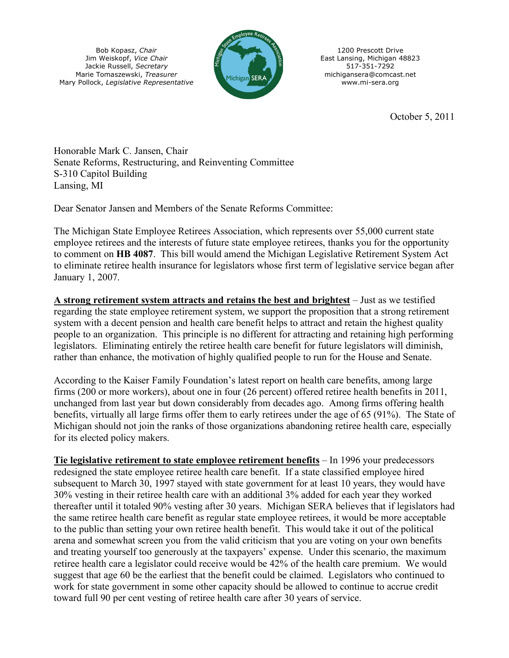Bob Kopasz, *Chair* Jim Weiskopf, *Vice Chair* Jackie Russell, *Secretary* Marie Tomaszewski, *Treasurer* Mary Pollock, *Legislative Representative*



1200 Prescott Drive East Lansing, Michigan 48823 517-351-7292 michigansera@comcast.net www.mi-sera.org

October 5, 2011

Honorable Mark C. Jansen, Chair Senate Reforms, Restructuring, and Reinventing Committee S-310 Capitol Building Lansing, MI

Dear Senator Jansen and Members of the Senate Reforms Committee:

The Michigan State Employee Retirees Association, which represents over 55,000 current state employee retirees and the interests of future state employee retirees, thanks you for the opportunity to comment on **HB 4087**. This bill would amend the Michigan Legislative Retirement System Act to eliminate retiree health insurance for legislators whose first term of legislative service began after January 1, 2007.

**A strong retirement system attracts and retains the best and brightest** – Just as we testified regarding the state employee retirement system, we support the proposition that a strong retirement system with a decent pension and health care benefit helps to attract and retain the highest quality people to an organization. This principle is no different for attracting and retaining high performing legislators. Eliminating entirely the retiree health care benefit for future legislators will diminish, rather than enhance, the motivation of highly qualified people to run for the House and Senate.

According to the Kaiser Family Foundation's latest report on health care benefits, among large firms (200 or more workers), about one in four (26 percent) offered retiree health benefits in 2011, unchanged from last year but down considerably from decades ago. Among firms offering health benefits, virtually all large firms offer them to early retirees under the age of 65 (91%). The State of Michigan should not join the ranks of those organizations abandoning retiree health care, especially for its elected policy makers.

**Tie legislative retirement to state employee retirement benefits** – In 1996 your predecessors redesigned the state employee retiree health care benefit. If a state classified employee hired subsequent to March 30, 1997 stayed with state government for at least 10 years, they would have 30% vesting in their retiree health care with an additional 3% added for each year they worked thereafter until it totaled 90% vesting after 30 years. Michigan SERA believes that if legislators had the same retiree health care benefit as regular state employee retirees, it would be more acceptable to the public than setting your own retiree health benefit. This would take it out of the political arena and somewhat screen you from the valid criticism that you are voting on your own benefits and treating yourself too generously at the taxpayers' expense. Under this scenario, the maximum retiree health care a legislator could receive would be 42% of the health care premium. We would suggest that age 60 be the earliest that the benefit could be claimed. Legislators who continued to work for state government in some other capacity should be allowed to continue to accrue credit toward full 90 per cent vesting of retiree health care after 30 years of service.